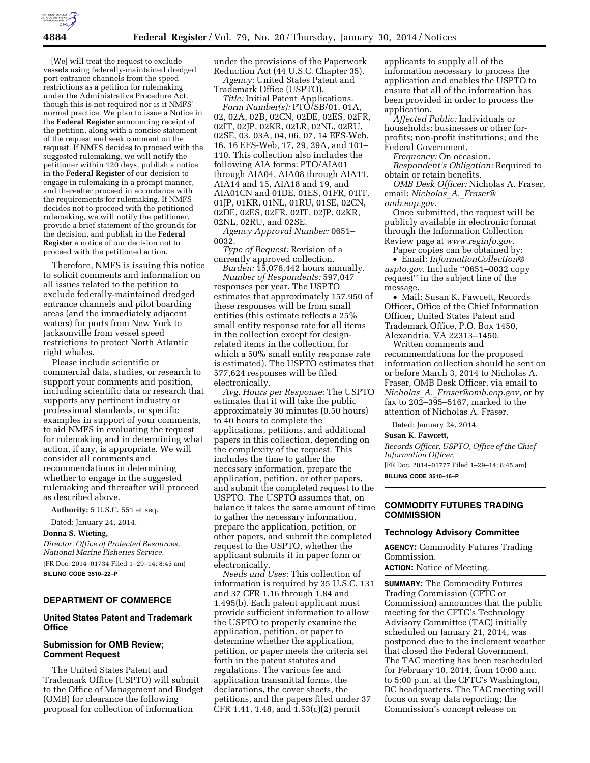[We] will treat the request to exclude vessels using federally-maintained dredged port entrance channels from the speed restrictions as a petition for rulemaking under the Administrative Procedure Act, though this is not required nor is it NMFS' normal practice. We plan to issue a Notice in the **Federal Register** announcing receipt of the petition, along with a concise statement of the request and seek comment on the request. If NMFS decides to proceed with the suggested rulemaking, we will notify the petitioner within 120 days, publish a notice in the **Federal Register** of our decision to engage in rulemaking in a prompt manner, and thereafter proceed in accordance with the requirements for rulemaking. If NMFS decides not to proceed with the petitioned rulemaking, we will notify the petitioner, provide a brief statement of the grounds for the decision, and publish in the **Federal Register** a notice of our decision not to proceed with the petitioned action.

Therefore, NMFS is issuing this notice to solicit comments and information on all issues related to the petition to exclude federally-maintained dredged entrance channels and pilot boarding areas (and the immediately adjacent waters) for ports from New York to Jacksonville from vessel speed restrictions to protect North Atlantic right whales.

Please include scientific or commercial data, studies, or research to support your comments and position, including scientific data or research that supports any pertinent industry or professional standards, or specific examples in support of your comments, to aid NMFS in evaluating the request for rulemaking and in determining what action, if any, is appropriate. We will consider all comments and recommendations in determining whether to engage in the suggested rulemaking and thereafter will proceed as described above.

**Authority:** 5 U.S.C. 551 et seq.

Dated: January 24, 2014.

**Donna S. Wieting,** 

*Director, Office of Protected Resources, National Marine Fisheries Service.*  [FR Doc. 2014–01734 Filed 1–29–14; 8:45 am]

**BILLING CODE 3510–22–P** 

# **DEPARTMENT OF COMMERCE**

## **United States Patent and Trademark Office**

### **Submission for OMB Review; Comment Request**

The United States Patent and Trademark Office (USPTO) will submit to the Office of Management and Budget (OMB) for clearance the following proposal for collection of information

under the provisions of the Paperwork Reduction Act (44 U.S.C. Chapter 35). *Agency:* United States Patent and

Trademark Office (USPTO). *Title:* Initial Patent Applications.

*Form Number(s):* PTO/SB/01, 01A, 02, 02A, 02B, 02CN, 02DE, 02ES, 02FR, 02IT, 02JP, 02KR, 02LR, 02NL, 02RU, 02SE, 03, 03A, 04, 06, 07, 14 EFS-Web, 16, 16 EFS-Web, 17, 29, 29A, and 101– 110. This collection also includes the following AIA forms: PTO/AIA01 through AIA04, AIA08 through AIA11, AIA14 and 15, AIA18 and 19, and AIA01CN and 01DE, 01ES, 01FR, 01IT, 01JP, 01KR, 01NL, 01RU, 01SE, 02CN, 02DE, 02ES, 02FR, 02IT, 02JP, 02KR, 02NL, 02RU, and 02SE.

*Agency Approval Number:* 0651– 0032.

*Type of Request:* Revision of a currently approved collection.

*Burden:* 15,076,442 hours annually. *Number of Respondents:* 597,047 responses per year. The USPTO estimates that approximately 157,950 of these responses will be from small entities (this estimate reflects a 25% small entity response rate for all items in the collection except for designrelated items in the collection, for which a 50% small entity response rate is estimated). The USPTO estimates that 577,624 responses will be filed electronically.

*Avg. Hours per Response:* The USPTO estimates that it will take the public approximately 30 minutes (0.50 hours) to 40 hours to complete the applications, petitions, and additional papers in this collection, depending on the complexity of the request. This includes the time to gather the necessary information, prepare the application, petition, or other papers, and submit the completed request to the USPTO. The USPTO assumes that, on balance it takes the same amount of time to gather the necessary information, prepare the application, petition, or other papers, and submit the completed request to the USPTO, whether the applicant submits it in paper form or electronically.

*Needs and Uses:* This collection of information is required by 35 U.S.C. 131 and 37 CFR 1.16 through 1.84 and 1.495(b). Each patent applicant must provide sufficient information to allow the USPTO to properly examine the application, petition, or paper to determine whether the application, petition, or paper meets the criteria set forth in the patent statutes and regulations. The various fee and application transmittal forms, the declarations, the cover sheets, the petitions, and the papers filed under 37 CFR 1.41, 1.48, and 1.53(c)(2) permit

applicants to supply all of the information necessary to process the application and enables the USPTO to ensure that all of the information has been provided in order to process the application.

*Affected Public:* Individuals or households; businesses or other forprofits; non-profit institutions; and the Federal Government.

*Frequency:* On occasion. *Respondent's Obligation:* Required to obtain or retain benefits.

*OMB Desk Officer:* Nicholas A. Fraser, email: *[Nicholas](mailto:Nicholas_A._Fraser@omb.eop.gov)*\_*A.*\_*Fraser@ [omb.eop.gov](mailto:Nicholas_A._Fraser@omb.eop.gov)*.

Once submitted, the request will be publicly available in electronic format through the Information Collection Review page at *[www.reginfo.gov](http://www.reginfo.gov)*.

Paper copies can be obtained by: • Email: *[InformationCollection@](mailto:InformationCollection@uspto.gov) [uspto.gov](mailto:InformationCollection@uspto.gov)*. Include ''0651–0032 copy request'' in the subject line of the message.

• Mail: Susan K. Fawcett, Records Officer, Office of the Chief Information Officer, United States Patent and Trademark Office, P.O. Box 1450, Alexandria, VA 22313–1450.

Written comments and recommendations for the proposed information collection should be sent on or before March 3, 2014 to Nicholas A. Fraser, OMB Desk Officer, via email to *Nicholas*\_*A.*\_*[Fraser@omb.eop.gov,](mailto:Nicholas_A._Fraser@omb.eop.gov)* or by fax to  $202-395-5167$ , marked to the attention of Nicholas A. Fraser.

Dated: January 24, 2014.

#### **Susan K. Fawcett,**

*Records Officer, USPTO, Office of the Chief Information Officer.*  [FR Doc. 2014–01777 Filed 1–29–14; 8:45 am]

**BILLING CODE 3510–16–P** 

### **COMMODITY FUTURES TRADING COMMISSION**

#### **Technology Advisory Committee**

**AGENCY:** Commodity Futures Trading Commission.

**ACTION:** Notice of Meeting.

**SUMMARY:** The Commodity Futures Trading Commission (CFTC or Commission) announces that the public meeting for the CFTC's Technology Advisory Committee (TAC) initially scheduled on January 21, 2014, was postponed due to the inclement weather that closed the Federal Government. The TAC meeting has been rescheduled for February 10, 2014, from 10:00 a.m. to 5:00 p.m. at the CFTC's Washington, DC headquarters. The TAC meeting will focus on swap data reporting; the Commission's concept release on